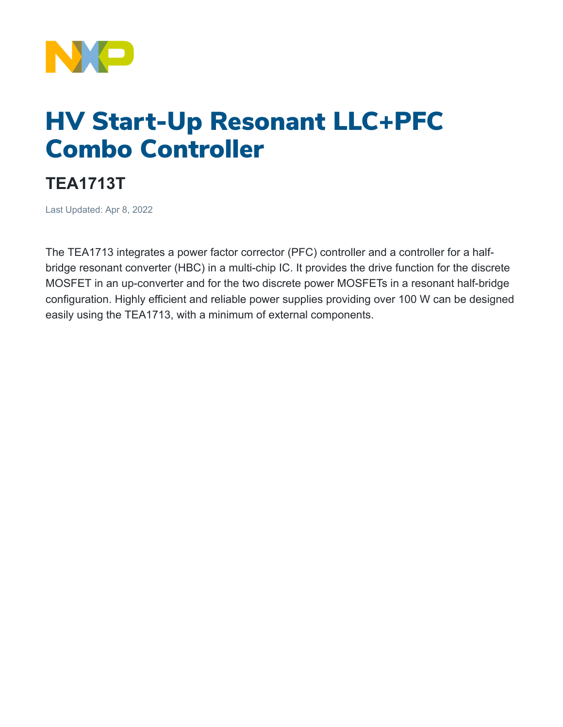

## HV Start-Up Resonant LLC+PFC Combo Controller

## **TEA1713T**

Last Updated: Apr 8, 2022

The TEA1713 integrates a power factor corrector (PFC) controller and a controller for a halfbridge resonant converter (HBC) in a multi-chip IC. It provides the drive function for the discrete MOSFET in an up-converter and for the two discrete power MOSFETs in a resonant half-bridge configuration. Highly efficient and reliable power supplies providing over 100 W can be designed easily using the TEA1713, with a minimum of external components.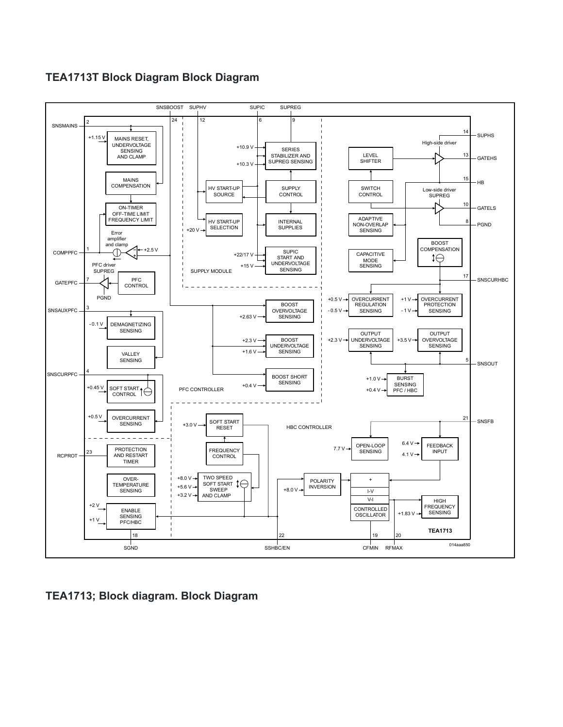## **TEA1713T Block Diagram Block Diagram**



**TEA1713; Block diagram. Block Diagram**